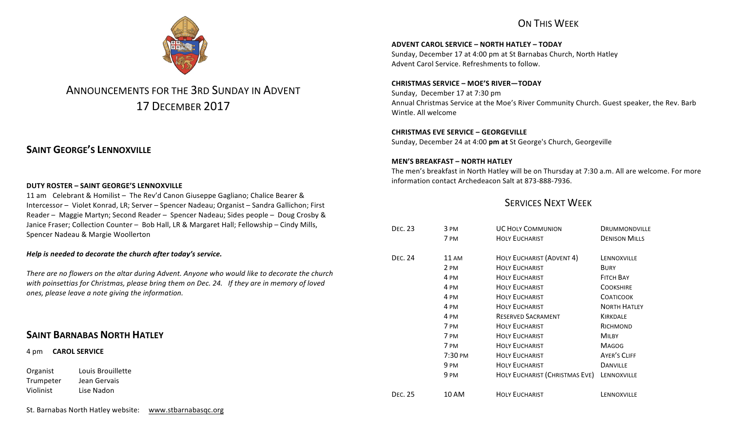## ON THIS WFFK



# ANNOUNCEMENTS FOR THE 3RD SUNDAY IN ADVENT 17 DECEMBER 2017

## **SAINT GEORGE'S LENNOXVILLE**

#### **DUTY ROSTER – SAINT GEORGE'S LENNOXVILLE**

11 am Celebrant & Homilist – The Rev'd Canon Giuseppe Gagliano; Chalice Bearer & Intercessor - Violet Konrad, LR; Server - Spencer Nadeau; Organist - Sandra Gallichon; First Reader – Maggie Martyn; Second Reader – Spencer Nadeau; Sides people – Doug Crosby & Janice Fraser; Collection Counter - Bob Hall, LR & Margaret Hall; Fellowship - Cindy Mills, Spencer Nadeau & Margie Woollerton

#### *Help* is needed to decorate the church after today's service.

There are no flowers on the altar during Advent. Anyone who would like to decorate the church with poinsettias for Christmas, please bring them on Dec. 24. If they are in memory of loved ones, please leave a note giving the information.

## **SAINT BARNABAS NORTH HATLEY**

4 pm **CAROL SERVICE**

Organist Louis Brouillette Trumpeter Jean Gervais Violinist Lise Nadon 

#### St. Barnabas North Hatley website: www.stbarnabasqc.org

**ADVENT CAROL SERVICE – NORTH HATLEY – TODAY**

Sunday, December 17 at 4:00 pm at St Barnabas Church, North Hatley Advent Carol Service. Refreshments to follow.

#### **CHRISTMAS SERVICE – MOE'S RIVER—TODAY**

Sunday, December 17 at 7:30 pm Annual Christmas Service at the Moe's River Community Church. Guest speaker, the Rev. Barb Wintle. All welcome

#### **CHRISTMAS EVE SERVICE – GEORGEVILLE**

Sunday, December 24 at 4:00 pm at St George's Church, Georgeville

#### **MEN'S BREAKFAST – NORTH HATLEY**

The men's breakfast in North Hatley will be on Thursday at 7:30 a.m. All are welcome. For more information contact Archedeacon Salt at 873-888-7936.

## **SERVICES NEXT WEEK**

| <b>DEC. 23</b> | 3 PM            | <b>UC HOLY COMMUNION</b>       | DRUMMONDVILLE        |
|----------------|-----------------|--------------------------------|----------------------|
|                | 7 PM            | <b>HOLY EUCHARIST</b>          | <b>DENISON MILLS</b> |
| <b>DEC. 24</b> | 11 AM           | HOLY EUCHARIST (ADVENT 4)      | LENNOXVILLE          |
|                | 2 PM            | <b>HOLY EUCHARIST</b>          | <b>BURY</b>          |
|                | 4 PM            | <b>HOLY EUCHARIST</b>          | <b>FITCH BAY</b>     |
|                | 4 PM            | <b>HOLY EUCHARIST</b>          | <b>COOKSHIRE</b>     |
|                | 4 PM            | <b>HOLY EUCHARIST</b>          | <b>COATICOOK</b>     |
|                | 4 PM            | <b>HOLY EUCHARIST</b>          | <b>NORTH HATLEY</b>  |
|                | 4 PM            | <b>RESERVED SACRAMENT</b>      | KIRKDALE             |
|                | 7 PM            | <b>HOLY EUCHARIST</b>          | RICHMOND             |
|                | 7 PM            | <b>HOLY EUCHARIST</b>          | <b>MILBY</b>         |
|                | 7 PM            | <b>HOLY EUCHARIST</b>          | <b>MAGOG</b>         |
|                | 7:30 PM         | <b>HOLY EUCHARIST</b>          | <b>AYER'S CLIFF</b>  |
|                | 9 <sub>PM</sub> | <b>HOLY EUCHARIST</b>          | <b>DANVILLE</b>      |
|                | 9 <sub>PM</sub> | HOLY EUCHARIST (CHRISTMAS EVE) | LENNOXVILLE          |
| <b>DEC. 25</b> | 10 AM           | <b>HOLY EUCHARIST</b>          | LENNOXVILLE          |